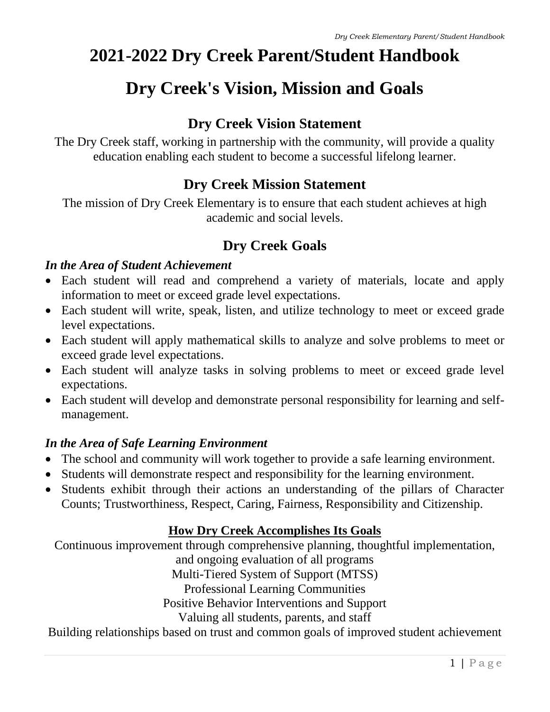# **2021-2022 Dry Creek Parent/Student Handbook**

# **Dry Creek's Vision, Mission and Goals**

# **Dry Creek Vision Statement**

The Dry Creek staff, working in partnership with the community, will provide a quality education enabling each student to become a successful lifelong learner.

# **Dry Creek Mission Statement**

The mission of Dry Creek Elementary is to ensure that each student achieves at high academic and social levels.

# **Dry Creek Goals**

# *In the Area of Student Achievement*

- Each student will read and comprehend a variety of materials, locate and apply information to meet or exceed grade level expectations.
- Each student will write, speak, listen, and utilize technology to meet or exceed grade level expectations.
- Each student will apply mathematical skills to analyze and solve problems to meet or exceed grade level expectations.
- Each student will analyze tasks in solving problems to meet or exceed grade level expectations.
- Each student will develop and demonstrate personal responsibility for learning and selfmanagement.

# *In the Area of Safe Learning Environment*

- The school and community will work together to provide a safe learning environment.
- Students will demonstrate respect and responsibility for the learning environment.
- Students exhibit through their actions an understanding of the pillars of Character Counts; Trustworthiness, Respect, Caring, Fairness, Responsibility and Citizenship.

# **How Dry Creek Accomplishes Its Goals**

Continuous improvement through comprehensive planning, thoughtful implementation, and ongoing evaluation of all programs Multi-Tiered System of Support (MTSS) Professional Learning Communities Positive Behavior Interventions and Support Valuing all students, parents, and staff Building relationships based on trust and common goals of improved student achievement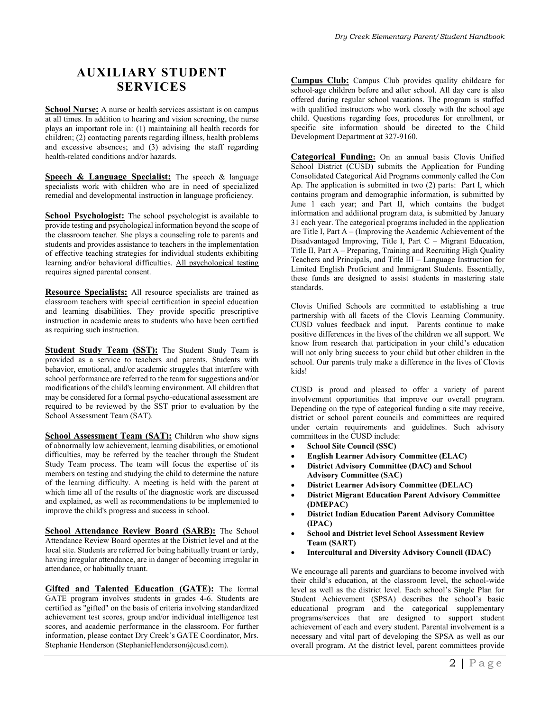# **AUXILIARY STUDENT SERVICES**

**School Nurse:** A nurse or health services assistant is on campus at all times. In addition to hearing and vision screening, the nurse plays an important role in: (1) maintaining all health records for children; (2) contacting parents regarding illness, health problems and excessive absences; and (3) advising the staff regarding health-related conditions and/or hazards.

**Speech & Language Specialist:** The speech & language specialists work with children who are in need of specialized remedial and developmental instruction in language proficiency.

**School Psychologist:** The school psychologist is available to provide testing and psychological information beyond the scope of the classroom teacher. She plays a counseling role to parents and students and provides assistance to teachers in the implementation of effective teaching strategies for individual students exhibiting learning and/or behavioral difficulties. All psychological testing requires signed parental consent.

**Resource Specialists:** All resource specialists are trained as classroom teachers with special certification in special education and learning disabilities. They provide specific prescriptive instruction in academic areas to students who have been certified as requiring such instruction.

**Student Study Team (SST):** The Student Study Team is provided as a service to teachers and parents. Students with behavior, emotional, and/or academic struggles that interfere with school performance are referred to the team for suggestions and/or modifications of the child's learning environment. All children that may be considered for a formal psycho-educational assessment are required to be reviewed by the SST prior to evaluation by the School Assessment Team (SAT).

**School Assessment Team (SAT):** Children who show signs of abnormally low achievement, learning disabilities, or emotional difficulties, may be referred by the teacher through the Student Study Team process. The team will focus the expertise of its members on testing and studying the child to determine the nature of the learning difficulty. A meeting is held with the parent at which time all of the results of the diagnostic work are discussed and explained, as well as recommendations to be implemented to improve the child's progress and success in school.

**School Attendance Review Board (SARB):** The School Attendance Review Board operates at the District level and at the local site. Students are referred for being habitually truant or tardy, having irregular attendance, are in danger of becoming irregular in attendance, or habitually truant.

**Gifted and Talented Education (GATE):** The formal GATE program involves students in grades 4-6. Students are certified as "gifted" on the basis of criteria involving standardized achievement test scores, group and/or individual intelligence test scores, and academic performance in the classroom. For further information, please contact Dry Creek's GATE Coordinator, Mrs. Stephanie Henderson (StephanieHenderson@cusd.com).

**Campus Club:** Campus Club provides quality childcare for school-age children before and after school. All day care is also offered during regular school vacations. The program is staffed with qualified instructors who work closely with the school age child. Questions regarding fees, procedures for enrollment, or specific site information should be directed to the Child Development Department at 327-9160.

**Categorical Funding:** On an annual basis Clovis Unified School District (CUSD) submits the Application for Funding Consolidated Categorical Aid Programs commonly called the Con Ap. The application is submitted in two (2) parts: Part I, which contains program and demographic information, is submitted by June 1 each year; and Part II, which contains the budget information and additional program data, is submitted by January 31 each year. The categorical programs included in the application are Title I, Part A – (Improving the Academic Achievement of the Disadvantaged Improving, Title I, Part C – Migrant Education, Title II, Part A – Preparing, Training and Recruiting High Quality Teachers and Principals, and Title III – Language Instruction for Limited English Proficient and Immigrant Students. Essentially, these funds are designed to assist students in mastering state standards.

Clovis Unified Schools are committed to establishing a true partnership with all facets of the Clovis Learning Community. CUSD values feedback and input. Parents continue to make positive differences in the lives of the children we all support. We know from research that participation in your child's education will not only bring success to your child but other children in the school. Our parents truly make a difference in the lives of Clovis kids!

CUSD is proud and pleased to offer a variety of parent involvement opportunities that improve our overall program. Depending on the type of categorical funding a site may receive, district or school parent councils and committees are required under certain requirements and guidelines. Such advisory committees in the CUSD include:

- **School Site Council (SSC)**
- **English Learner Advisory Committee (ELAC)**
- **District Advisory Committee (DAC) and School Advisory Committee (SAC)**
- **District Learner Advisory Committee (DELAC)**
- **District Migrant Education Parent Advisory Committee (DMEPAC)**
- **District Indian Education Parent Advisory Committee (IPAC)**
- **School and District level School Assessment Review Team (SART)**
- **Intercultural and Diversity Advisory Council (IDAC)**

We encourage all parents and guardians to become involved with their child's education, at the classroom level, the school-wide level as well as the district level. Each school's Single Plan for Student Achievement (SPSA) describes the school's basic educational program and the categorical supplementary programs/services that are designed to support student achievement of each and every student. Parental involvement is a necessary and vital part of developing the SPSA as well as our overall program. At the district level, parent committees provide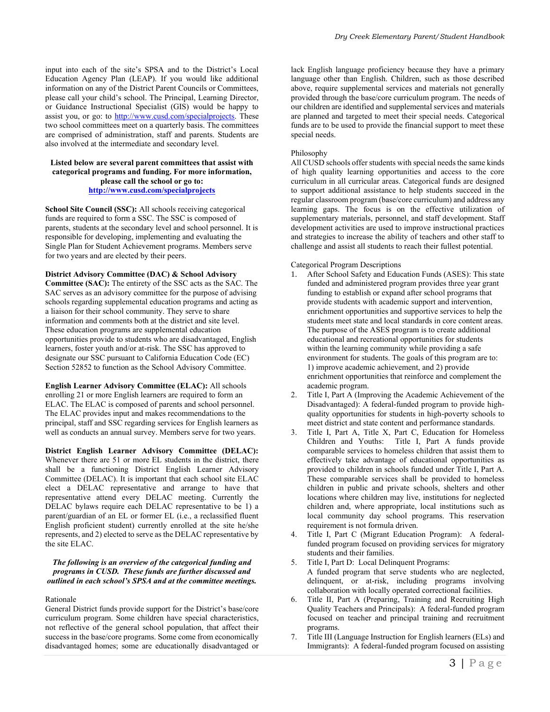input into each of the site's SPSA and to the District's Local Education Agency Plan (LEAP). If you would like additional information on any of the District Parent Councils or Committees, please call your child's school. The Principal, Learning Director, or Guidance Instructional Specialist (GIS) would be happy to assist you, or go: to [http://www.cusd.com/specialprojects.](http://www.cusd.com/specialprojects) These two school committees meet on a quarterly basis. The committees are comprised of administration, staff and parents. Students are also involved at the intermediate and secondary level.

#### **Listed below are several parent committees that assist with categorical programs and funding. For more information, please call the school or go to: <http://www.cusd.com/specialprojects>**

**School Site Council (SSC):** All schools receiving categorical funds are required to form a SSC. The SSC is composed of parents, students at the secondary level and school personnel. It is responsible for developing, implementing and evaluating the Single Plan for Student Achievement programs. Members serve for two years and are elected by their peers.

#### **District Advisory Committee (DAC) & School Advisory**

**Committee (SAC):** The entirety of the SSC acts as the SAC. The SAC serves as an advisory committee for the purpose of advising schools regarding supplemental education programs and acting as a liaison for their school community. They serve to share information and comments both at the district and site level. These education programs are supplemental education opportunities provide to students who are disadvantaged, English learners, foster youth and/or at-risk. The SSC has approved to designate our SSC pursuant to California Education Code (EC) Section 52852 to function as the School Advisory Committee.

**English Learner Advisory Committee (ELAC):** All schools enrolling 21 or more English learners are required to form an ELAC. The ELAC is composed of parents and school personnel. The ELAC provides input and makes recommendations to the principal, staff and SSC regarding services for English learners as well as conducts an annual survey. Members serve for two years.

**District English Learner Advisory Committee (DELAC):** Whenever there are 51 or more EL students in the district, there shall be a functioning District English Learner Advisory Committee (DELAC). It is important that each school site ELAC elect a DELAC representative and arrange to have that representative attend every DELAC meeting. Currently the DELAC bylaws require each DELAC representative to be 1) a parent/guardian of an EL or former EL (i.e., a reclassified fluent English proficient student) currently enrolled at the site he/she represents, and 2) elected to serve as the DELAC representative by the site ELAC.

#### *The following is an overview of the categorical funding and programs in CUSD. These funds are further discussed and outlined in each school's SPSA and at the committee meetings.*

#### Rationale

General District funds provide support for the District's base/core curriculum program. Some children have special characteristics, not reflective of the general school population, that affect their success in the base/core programs. Some come from economically disadvantaged homes; some are educationally disadvantaged or lack English language proficiency because they have a primary language other than English. Children, such as those described above, require supplemental services and materials not generally provided through the base/core curriculum program. The needs of our children are identified and supplemental services and materials are planned and targeted to meet their special needs. Categorical funds are to be used to provide the financial support to meet these special needs.

#### Philosophy

All CUSD schools offer students with special needs the same kinds of high quality learning opportunities and access to the core curriculum in all curricular areas. Categorical funds are designed to support additional assistance to help students succeed in the regular classroom program (base/core curriculum) and address any learning gaps. The focus is on the effective utilization of supplementary materials, personnel, and staff development. Staff development activities are used to improve instructional practices and strategies to increase the ability of teachers and other staff to challenge and assist all students to reach their fullest potential.

#### Categorical Program Descriptions

- 1. After School Safety and Education Funds (ASES): This state funded and administered program provides three year grant funding to establish or expand after school programs that provide students with academic support and intervention, enrichment opportunities and supportive services to help the students meet state and local standards in core content areas. The purpose of the ASES program is to create additional educational and recreational opportunities for students within the learning community while providing a safe environment for students. The goals of this program are to: 1) improve academic achievement, and 2) provide enrichment opportunities that reinforce and complement the academic program.
- 2. Title I, Part A (Improving the Academic Achievement of the Disadvantaged): A federal-funded program to provide highquality opportunities for students in high-poverty schools to meet district and state content and performance standards.
- 3. Title I, Part A, Title X, Part C, Education for Homeless Children and Youths: Title I, Part A funds provide comparable services to homeless children that assist them to effectively take advantage of educational opportunities as provided to children in schools funded under Title I, Part A. These comparable services shall be provided to homeless children in public and private schools, shelters and other locations where children may live, institutions for neglected children and, where appropriate, local institutions such as local community day school programs. This reservation requirement is not formula driven.
- 4. Title I, Part C (Migrant Education Program): A federalfunded program focused on providing services for migratory students and their families.
- 5. Title I, Part D: Local Delinquent Programs: A funded program that serve students who are neglected, delinquent, or at-risk, including programs involving collaboration with locally operated correctional facilities.
- 6. Title II, Part A (Preparing, Training and Recruiting High Quality Teachers and Principals): A federal-funded program focused on teacher and principal training and recruitment programs.
- 7. Title III (Language Instruction for English learners (ELs) and Immigrants): A federal-funded program focused on assisting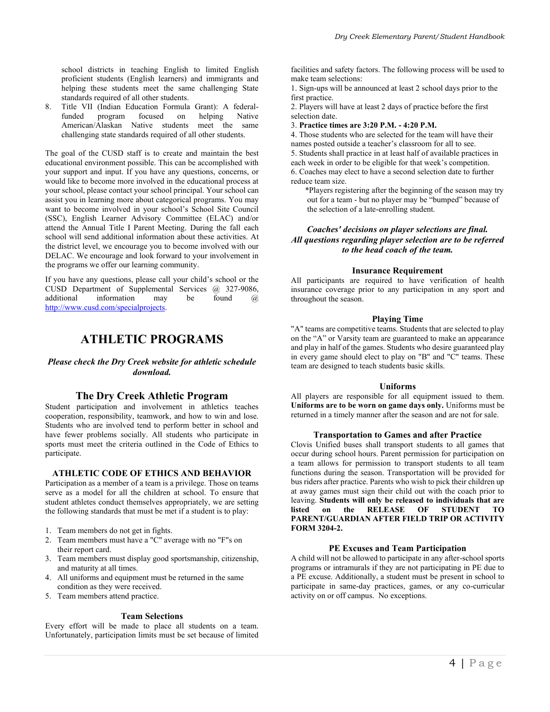school districts in teaching English to limited English proficient students (English learners) and immigrants and helping these students meet the same challenging State standards required of all other students.

8. Title VII (Indian Education Formula Grant): A federalfunded program focused on helping Native American/Alaskan Native students meet the same challenging state standards required of all other students.

The goal of the CUSD staff is to create and maintain the best educational environment possible. This can be accomplished with your support and input. If you have any questions, concerns, or would like to become more involved in the educational process at your school, please contact your school principal. Your school can assist you in learning more about categorical programs. You may want to become involved in your school's School Site Council (SSC), English Learner Advisory Committee (ELAC) and/or attend the Annual Title I Parent Meeting. During the fall each school will send additional information about these activities. At the district level, we encourage you to become involved with our DELAC. We encourage and look forward to your involvement in the programs we offer our learning community.

If you have any questions, please call your child's school or the CUSD Department of Supplemental Services @ 327-9086, additional information may be found @ [http://www.cusd.com/specialprojects.](http://www.cusd.com/specialprojects)

### **ATHLETIC PROGRAMS**

### *Please check the Dry Creek website for athletic schedule download.*

### **The Dry Creek Athletic Program**

Student participation and involvement in athletics teaches cooperation, responsibility, teamwork, and how to win and lose. Students who are involved tend to perform better in school and have fewer problems socially. All students who participate in sports must meet the criteria outlined in the Code of Ethics to participate.

### **ATHLETIC CODE OF ETHICS AND BEHAVIOR**

Participation as a member of a team is a privilege. Those on teams serve as a model for all the children at school. To ensure that student athletes conduct themselves appropriately, we are setting the following standards that must be met if a student is to play:

- 1. Team members do not get in fights.
- 2. Team members must have a "C" average with no "F"s on their report card.
- 3. Team members must display good sportsmanship, citizenship, and maturity at all times.
- 4. All uniforms and equipment must be returned in the same condition as they were received.
- 5. Team members attend practice.

### **Team Selections**

Every effort will be made to place all students on a team. Unfortunately, participation limits must be set because of limited facilities and safety factors. The following process will be used to make team selections:

1. Sign-ups will be announced at least 2 school days prior to the first practice.

2. Players will have at least 2 days of practice before the first selection date.

3. **Practice times are 3:20 P.M. - 4:20 P.M.**

4. Those students who are selected for the team will have their names posted outside a teacher's classroom for all to see. 5. Students shall practice in at least half of available practices in each week in order to be eligible for that week's competition. 6. Coaches may elect to have a second selection date to further reduce team size.

\*Players registering after the beginning of the season may try out for a team - but no player may be "bumped" because of the selection of a late-enrolling student.

### *Coaches' decisions on player selections are final. All questions regarding player selection are to be referred to the head coach of the team.*

### **Insurance Requirement**

All participants are required to have verification of health insurance coverage prior to any participation in any sport and throughout the season.

### **Playing Time**

"A" teams are competitive teams. Students that are selected to play on the "A" or Varsity team are guaranteed to make an appearance and play in half of the games. Students who desire guaranteed play in every game should elect to play on "B" and "C" teams. These team are designed to teach students basic skills.

### **Uniforms**

All players are responsible for all equipment issued to them. **Uniforms are to be worn on game days only.** Uniforms must be returned in a timely manner after the season and are not for sale.

### **Transportation to Games and after Practice**

Clovis Unified buses shall transport students to all games that occur during school hours. Parent permission for participation on a team allows for permission to transport students to all team functions during the season. Transportation will be provided for bus riders after practice. Parents who wish to pick their children up at away games must sign their child out with the coach prior to leaving. **Students will only be released to individuals that are listed on the RELEASE OF STUDENT TO PARENT/GUARDIAN AFTER FIELD TRIP OR ACTIVITY FORM 3204-2.**

### **PE Excuses and Team Participation**

A child will not be allowed to participate in any after-school sports programs or intramurals if they are not participating in PE due to a PE excuse. Additionally, a student must be present in school to participate in same-day practices, games, or any co-curricular activity on or off campus. No exceptions.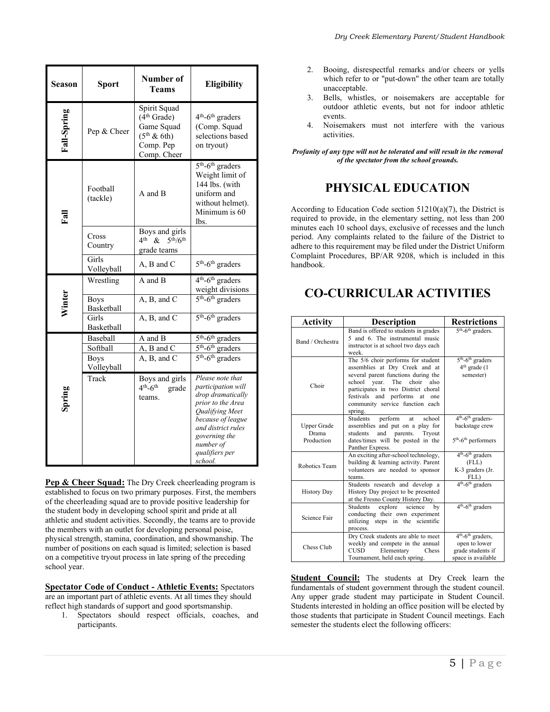|  | Dry Creek Elementary Parent/Student Handbook |  |  |
|--|----------------------------------------------|--|--|
|  |                                              |  |  |

| Season        | Sport                             | Number of<br>Teams                                                                                                  | <b>Eligibility</b>                                                                                                                                                                                                      |
|---------------|-----------------------------------|---------------------------------------------------------------------------------------------------------------------|-------------------------------------------------------------------------------------------------------------------------------------------------------------------------------------------------------------------------|
| Fall-Spring   | Pep & Cheer                       | Spirit Squad<br>(4 <sup>th</sup> Grade)<br>Game Squad<br>$(5th \& 6th)$<br>Comp. Pep<br>Comp. Cheer                 | 4 <sup>th</sup> -6 <sup>th</sup> graders<br>(Comp. Squad<br>selections based<br>on tryout)                                                                                                                              |
| $_{\rm Fall}$ | Football<br>(tackle)              | A and B                                                                                                             | $5th$ -6 <sup>th</sup> graders<br>Weight limit of<br>144 lbs. (with<br>uniform and<br>without helmet).<br>Minimum is 60<br>lbs.                                                                                         |
|               | Cross<br>Country                  | Boys and girls<br>4 <sup>th</sup><br>5 <sup>th</sup> /6 <sup>th</sup><br>$\mathcal{R}_{\mathcal{L}}$<br>grade teams |                                                                                                                                                                                                                         |
|               | Girls<br>Volleyball               | A, B and C                                                                                                          | $5th$ -6 <sup>th</sup> graders                                                                                                                                                                                          |
|               | Wrestling<br><b>Boys</b>          | A and B<br>A, B, and C                                                                                              | 4 <sup>th</sup> -6 <sup>th</sup> graders<br>weight divisions<br>$5th - 6th$ graders                                                                                                                                     |
| Winter        | Basketball<br>Girls<br>Basketball | A, B, and C                                                                                                         | $5th$ -6 <sup>th</sup> graders                                                                                                                                                                                          |
|               | Baseball                          | A and B                                                                                                             | $5th - 6th$ graders                                                                                                                                                                                                     |
|               | Softball                          | $A$ , $B$ and $C$                                                                                                   | $5th - 6th$ graders                                                                                                                                                                                                     |
|               | <b>Boys</b><br>Volleyball         | A, B, and C                                                                                                         | $5th$ -6 <sup>th</sup> graders                                                                                                                                                                                          |
| Spring        | Track                             | Boys and girls<br>$4th - 6th$<br>grade<br>teams.                                                                    | Please note that<br><i>participation will</i><br>drop dramatically<br>prior to the Area<br><b>Oualifying Meet</b><br>because of league<br>and district rules<br>governing the<br>number of<br>qualifiers per<br>school. |

**Pep & Cheer Squad:** The Dry Creek cheerleading program is established to focus on two primary purposes. First, the members of the cheerleading squad are to provide positive leadership for the student body in developing school spirit and pride at all athletic and student activities. Secondly, the teams are to provide the members with an outlet for developing personal poise, physical strength, stamina, coordination, and showmanship. The number of positions on each squad is limited; selection is based on a competitive tryout process in late spring of the preceding school year.

**Spectator Code of Conduct - Athletic Events:** Spectators are an important part of athletic events. At all times they should reflect high standards of support and good sportsmanship.

1. Spectators should respect officials, coaches, and participants.

- 2. Booing, disrespectful remarks and/or cheers or yells which refer to or "put-down" the other team are totally unacceptable.
- 3. Bells, whistles, or noisemakers are acceptable for outdoor athletic events, but not for indoor athletic events.
- 4. Noisemakers must not interfere with the various activities.

*Profanity of any type will not be tolerated and will result in the removal of the spectator from the school grounds.*

# **PHYSICAL EDUCATION**

According to Education Code section  $51210(a)(7)$ , the District is required to provide, in the elementary setting, not less than 200 minutes each 10 school days, exclusive of recesses and the lunch period. Any complaints related to the failure of the District to adhere to this requirement may be filed under the District Uniform Complaint Procedures, BP/AR 9208, which is included in this handbook.

# **CO-CURRICULAR ACTIVITIES**

| <b>Activity</b>                    | <b>Description</b>                                                                                                                                                                                                                                                     | <b>Restrictions</b>                                                                         |
|------------------------------------|------------------------------------------------------------------------------------------------------------------------------------------------------------------------------------------------------------------------------------------------------------------------|---------------------------------------------------------------------------------------------|
| Band / Orchestra                   | Band is offered to students in grades<br>5 and 6. The instrumental music<br>instructor is at school two days each<br>week.                                                                                                                                             | 5 <sup>th</sup> -6 <sup>th</sup> graders.                                                   |
| Choir                              | The 5/6 choir performs for student<br>assemblies at Dry Creek and at<br>several parent functions during the<br>school year. The choir<br>also<br>participates in two District choral<br>festivals and performs at<br>one<br>community service function each<br>spring. | $5th$ -6 <sup>th</sup> graders<br>$4th$ grade $(1)$<br>semester)                            |
| Upper Grade<br>Drama<br>Production | Students<br>perform<br>school<br>at<br>assemblies and put on a play for<br>and parents. Tryout<br>students<br>dates/times will be posted in the<br>Panther Express.                                                                                                    | $4th$ -6 <sup>th</sup> graders-<br>backstage crew<br>$5th$ -6 <sup>th</sup> performers      |
| Robotics Team                      | An exciting after-school technology,<br>building & learning activity. Parent<br>volunteers are needed to sponsor<br>teams.                                                                                                                                             | $4th$ -6 <sup>th</sup> graders<br>(FLL)<br>K-3 graders (Jr.<br>FLL)                         |
| <b>History Day</b>                 | Students research and develop a<br>History Day project to be presented<br>at the Fresno County History Day.                                                                                                                                                            | $\overline{4^{th}}$ -6 <sup>th</sup> graders                                                |
| Science Fair                       | Students<br>explore<br>science<br>bv<br>conducting their own experiment<br>utilizing steps in the scientific<br>process.                                                                                                                                               | $4th - 6th$ graders                                                                         |
| Chess Club                         | Dry Creek students are able to meet<br>weekly and compete in the annual<br>Elementary<br><b>CUSD</b><br>Chess<br>Tournament, held each spring.                                                                                                                         | $4th$ -6 <sup>th</sup> graders,<br>open to lower<br>grade students if<br>space is available |

**Student Council:** The students at Dry Creek learn the fundamentals of student government through the student council. Any upper grade student may participate in Student Council. Students interested in holding an office position will be elected by those students that participate in Student Council meetings. Each semester the students elect the following officers: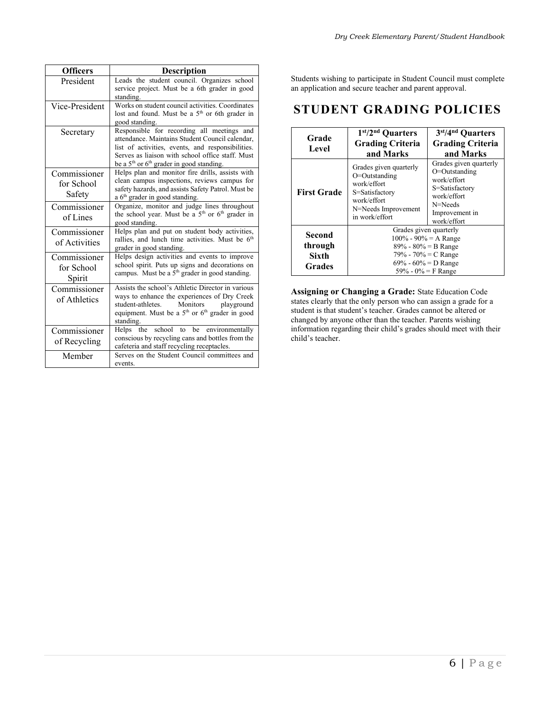| <b>Officers</b>                      | <b>Description</b>                                                                                                                                                                                                                                     |
|--------------------------------------|--------------------------------------------------------------------------------------------------------------------------------------------------------------------------------------------------------------------------------------------------------|
| President                            | Leads the student council. Organizes school<br>service project. Must be a 6th grader in good<br>standing.                                                                                                                                              |
| Vice-President                       | Works on student council activities. Coordinates<br>lost and found. Must be a 5 <sup>th</sup> or 6th grader in<br>good standing.                                                                                                                       |
| Secretary                            | Responsible for recording all meetings and<br>attendance. Maintains Student Council calendar.<br>list of activities, events, and responsibilities.<br>Serves as liaison with school office staff. Must<br>be a $5th$ or $6th$ grader in good standing. |
| Commissioner<br>for School<br>Safety | Helps plan and monitor fire drills, assists with<br>clean campus inspections, reviews campus for<br>safety hazards, and assists Safety Patrol. Must be<br>a 6 <sup>th</sup> grader in good standing.                                                   |
| Commissioner<br>of Lines             | Organize, monitor and judge lines throughout<br>the school year. Must be a $5th$ or $6th$ grader in<br>good standing.                                                                                                                                  |
| Commissioner<br>of Activities        | Helps plan and put on student body activities,<br>rallies, and lunch time activities. Must be 6 <sup>th</sup><br>grader in good standing.                                                                                                              |
| Commissioner<br>for School<br>Spirit | Helps design activities and events to improve<br>school spirit. Puts up signs and decorations on<br>campus. Must be a $5th$ grader in good standing.                                                                                                   |
| Commissioner<br>of Athletics         | Assists the school's Athletic Director in various<br>ways to enhance the experiences of Dry Creek<br>student-athletes.<br>Monitors<br>playground<br>equipment. Must be a 5 <sup>th</sup> or 6 <sup>th</sup> grader in good<br>standing.                |
| Commissioner<br>of Recycling         | school to<br>be environmentally<br>the<br><b>Helps</b><br>conscious by recycling cans and bottles from the<br>cafeteria and staff recycling receptacles.                                                                                               |
| Member                               | Serves on the Student Council committees and<br>events.                                                                                                                                                                                                |

Students wishing to participate in Student Council must complete an application and secure teacher and parent approval.

# **STUDENT GRADING POLICIES**

| Grade<br>Level                       | $1st/2nd$ Quarters<br><b>Grading Criteria</b><br>and Marks                                                                                               | 3 <sup>st</sup> /4 <sup>nd</sup> Quarters<br><b>Grading Criteria</b><br>and Marks                                                   |
|--------------------------------------|----------------------------------------------------------------------------------------------------------------------------------------------------------|-------------------------------------------------------------------------------------------------------------------------------------|
| <b>First Grade</b>                   | Grades given quarterly<br>O=Outstanding<br>work/effort<br>S=Satisfactory<br>work/effort<br>N=Needs Improvement<br>in work/effort                         | Grades given quarterly<br>O=Outstanding<br>work/effort<br>S=Satisfactory<br>work/effort<br>N=Needs<br>Improvement in<br>work/effort |
| Second<br>through<br>Sixth<br>Grades | Grades given quarterly<br>$100\% - 90\% = A$ Range<br>$89\% - 80\% = B$ Range<br>79% - 70% = C Range<br>$69\% - 60\% = D$ Range<br>59% - $0\% = F$ Range |                                                                                                                                     |

**Assigning or Changing a Grade:** State Education Code states clearly that the only person who can assign a grade for a student is that student's teacher. Grades cannot be altered or changed by anyone other than the teacher. Parents wishing information regarding their child's grades should meet with their child's teacher.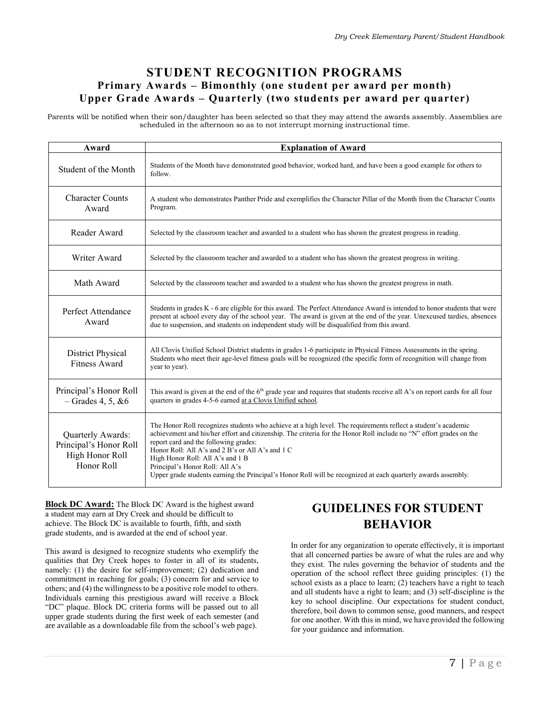### **STUDENT RECOGNITION PROGRAMS Primary Awards – Bimonthly (one student per award per month) Upper Grade Awards – Quarterly (two students per award per quarter)**

Parents will be notified when their son/daughter has been selected so that they may attend the awards assembly. Assemblies are scheduled in the afternoon so as to not interrupt morning instructional time.

| Award                                                                                                                                                                                                                                                                                                                                                                                                                                                                                                                                                                                                     | <b>Explanation of Award</b>                                                                                                                                                                                                                                                                                                                        |  |
|-----------------------------------------------------------------------------------------------------------------------------------------------------------------------------------------------------------------------------------------------------------------------------------------------------------------------------------------------------------------------------------------------------------------------------------------------------------------------------------------------------------------------------------------------------------------------------------------------------------|----------------------------------------------------------------------------------------------------------------------------------------------------------------------------------------------------------------------------------------------------------------------------------------------------------------------------------------------------|--|
| Student of the Month                                                                                                                                                                                                                                                                                                                                                                                                                                                                                                                                                                                      | Students of the Month have demonstrated good behavior, worked hard, and have been a good example for others to<br>follow.                                                                                                                                                                                                                          |  |
| <b>Character Counts</b><br>Award                                                                                                                                                                                                                                                                                                                                                                                                                                                                                                                                                                          | A student who demonstrates Panther Pride and exemplifies the Character Pillar of the Month from the Character Counts<br>Program.                                                                                                                                                                                                                   |  |
| Reader Award                                                                                                                                                                                                                                                                                                                                                                                                                                                                                                                                                                                              | Selected by the classroom teacher and awarded to a student who has shown the greatest progress in reading.                                                                                                                                                                                                                                         |  |
| Writer Award                                                                                                                                                                                                                                                                                                                                                                                                                                                                                                                                                                                              | Selected by the classroom teacher and awarded to a student who has shown the greatest progress in writing.                                                                                                                                                                                                                                         |  |
| Math Award                                                                                                                                                                                                                                                                                                                                                                                                                                                                                                                                                                                                | Selected by the classroom teacher and awarded to a student who has shown the greatest progress in math.                                                                                                                                                                                                                                            |  |
| Perfect Attendance<br>Award                                                                                                                                                                                                                                                                                                                                                                                                                                                                                                                                                                               | Students in grades K - 6 are eligible for this award. The Perfect Attendance Award is intended to honor students that were<br>present at school every day of the school year. The award is given at the end of the year. Unexcused tardies, absences<br>due to suspension, and students on independent study will be disqualified from this award. |  |
| <b>District Physical</b><br><b>Fitness Award</b>                                                                                                                                                                                                                                                                                                                                                                                                                                                                                                                                                          | All Clovis Unified School District students in grades 1-6 participate in Physical Fitness Assessments in the spring.<br>Students who meet their age-level fitness goals will be recognized (the specific form of recognition will change from<br>year to year).                                                                                    |  |
| Principal's Honor Roll<br>$-$ Grades 4, 5, & 6                                                                                                                                                                                                                                                                                                                                                                                                                                                                                                                                                            | This award is given at the end of the 6 <sup>th</sup> grade year and requires that students receive all A's on report cards for all four<br>quarters in grades 4-5-6 earned at a Clovis Unified school.                                                                                                                                            |  |
| The Honor Roll recognizes students who achieve at a high level. The requirements reflect a student's academic<br>achievement and his/her effort and citizenship. The criteria for the Honor Roll include no "N" effort grades on the<br>Quarterly Awards:<br>report card and the following grades:<br>Principal's Honor Roll<br>Honor Roll: All A's and 2 B's or All A's and 1 C<br>High Honor Roll<br>High Honor Roll: All A's and 1 B<br>Honor Roll<br>Principal's Honor Roll: All A's<br>Upper grade students earning the Principal's Honor Roll will be recognized at each quarterly awards assembly. |                                                                                                                                                                                                                                                                                                                                                    |  |

**Block DC Award:** The Block DC Award is the highest award a student may earn at Dry Creek and should be difficult to achieve. The Block DC is available to fourth, fifth, and sixth grade students, and is awarded at the end of school year.

This award is designed to recognize students who exemplify the qualities that Dry Creek hopes to foster in all of its students, namely: (1) the desire for self-improvement; (2) dedication and commitment in reaching for goals; (3) concern for and service to others; and (4) the willingness to be a positive role model to others. Individuals earning this prestigious award will receive a Block "DC" plaque. Block DC criteria forms will be passed out to all upper grade students during the first week of each semester (and are available as a downloadable file from the school's web page).

# **GUIDELINES FOR STUDENT BEHAVIOR**

In order for any organization to operate effectively, it is important that all concerned parties be aware of what the rules are and why they exist. The rules governing the behavior of students and the operation of the school reflect three guiding principles: (1) the school exists as a place to learn; (2) teachers have a right to teach and all students have a right to learn; and (3) self-discipline is the key to school discipline. Our expectations for student conduct, therefore, boil down to common sense, good manners, and respect for one another. With this in mind, we have provided the following for your guidance and information.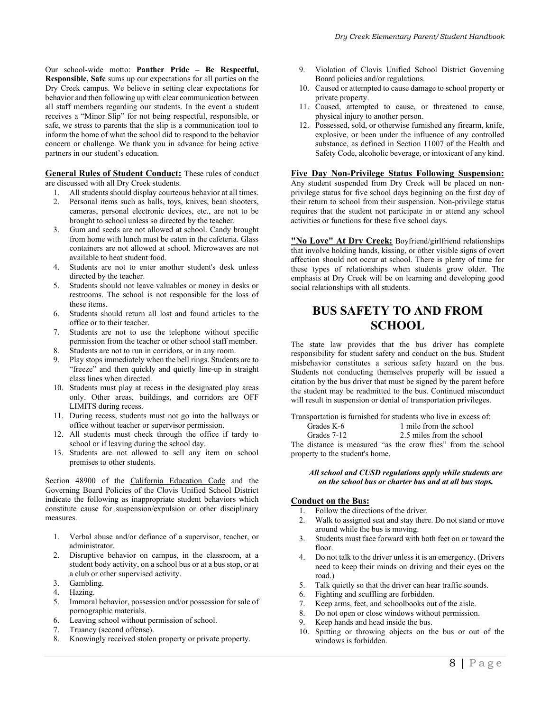Our school-wide motto: **Panther Pride – Be Respectful, Responsible, Safe** sums up our expectations for all parties on the Dry Creek campus. We believe in setting clear expectations for behavior and then following up with clear communication between all staff members regarding our students. In the event a student receives a "Minor Slip" for not being respectful, responsible, or safe, we stress to parents that the slip is a communication tool to inform the home of what the school did to respond to the behavior concern or challenge. We thank you in advance for being active partners in our student's education.

**General Rules of Student Conduct:** These rules of conduct are discussed with all Dry Creek students.

- 1. All students should display courteous behavior at all times.
- 2. Personal items such as balls, toys, knives, bean shooters, cameras, personal electronic devices, etc., are not to be brought to school unless so directed by the teacher.
- 3. Gum and seeds are not allowed at school. Candy brought from home with lunch must be eaten in the cafeteria. Glass containers are not allowed at school. Microwaves are not available to heat student food.
- 4. Students are not to enter another student's desk unless directed by the teacher.
- 5. Students should not leave valuables or money in desks or restrooms. The school is not responsible for the loss of these items.
- 6. Students should return all lost and found articles to the office or to their teacher.
- 7. Students are not to use the telephone without specific permission from the teacher or other school staff member.
- 8. Students are not to run in corridors, or in any room.
- 9. Play stops immediately when the bell rings. Students are to "freeze" and then quickly and quietly line-up in straight class lines when directed.
- 10. Students must play at recess in the designated play areas only. Other areas, buildings, and corridors are OFF LIMITS during recess.
- 11. During recess, students must not go into the hallways or office without teacher or supervisor permission.
- 12. All students must check through the office if tardy to school or if leaving during the school day.
- 13. Students are not allowed to sell any item on school premises to other students.

Section 48900 of the California Education Code and the Governing Board Policies of the Clovis Unified School District indicate the following as inappropriate student behaviors which constitute cause for suspension/expulsion or other disciplinary measures.

- 1. Verbal abuse and/or defiance of a supervisor, teacher, or administrator.
- 2. Disruptive behavior on campus, in the classroom, at a student body activity, on a school bus or at a bus stop, or at a club or other supervised activity.
- 3. Gambling.
- 4. Hazing.
- 5. Immoral behavior, possession and/or possession for sale of pornographic materials.
- 6. Leaving school without permission of school.
- 7. Truancy (second offense).
- 8. Knowingly received stolen property or private property.
- 9. Violation of Clovis Unified School District Governing Board policies and/or regulations.
- 10. Caused or attempted to cause damage to school property or private property.
- 11. Caused, attempted to cause, or threatened to cause, physical injury to another person.
- 12. Possessed, sold, or otherwise furnished any firearm, knife, explosive, or been under the influence of any controlled substance, as defined in Section 11007 of the Health and Safety Code, alcoholic beverage, or intoxicant of any kind.

### **Five Day Non-Privilege Status Following Suspension:**

Any student suspended from Dry Creek will be placed on nonprivilege status for five school days beginning on the first day of their return to school from their suspension. Non-privilege status requires that the student not participate in or attend any school activities or functions for these five school days.

**"No Love" At Dry Creek:** Boyfriend/girlfriend relationships that involve holding hands, kissing, or other visible signs of overt affection should not occur at school. There is plenty of time for these types of relationships when students grow older. The emphasis at Dry Creek will be on learning and developing good social relationships with all students.

# **BUS SAFETY TO AND FROM SCHOOL**

The state law provides that the bus driver has complete responsibility for student safety and conduct on the bus. Student misbehavior constitutes a serious safety hazard on the bus. Students not conducting themselves properly will be issued a citation by the bus driver that must be signed by the parent before the student may be readmitted to the bus. Continued misconduct will result in suspension or denial of transportation privileges.

Transportation is furnished for students who live in excess of:

Grades K-6 1 mile from the school<br>Grades 7-12 2.5 miles from the scho 2.5 miles from the school The distance is measured "as the crow flies" from the school

property to the student's home.

### *All school and CUSD regulations apply while students are on the school bus or charter bus and at all bus stops.*

### **Conduct on the Bus:**

- 1. Follow the directions of the driver.
- 2. Walk to assigned seat and stay there. Do not stand or move around while the bus is moving.
- 3. Students must face forward with both feet on or toward the floor.
- 4. Do not talk to the driver unless it is an emergency. (Drivers need to keep their minds on driving and their eyes on the road.)
- 5. Talk quietly so that the driver can hear traffic sounds.
- 6. Fighting and scuffling are forbidden.
- 7. Keep arms, feet, and schoolbooks out of the aisle.
- 8. Do not open or close windows without permission.
- 9. Keep hands and head inside the bus.
- 10. Spitting or throwing objects on the bus or out of the windows is forbidden.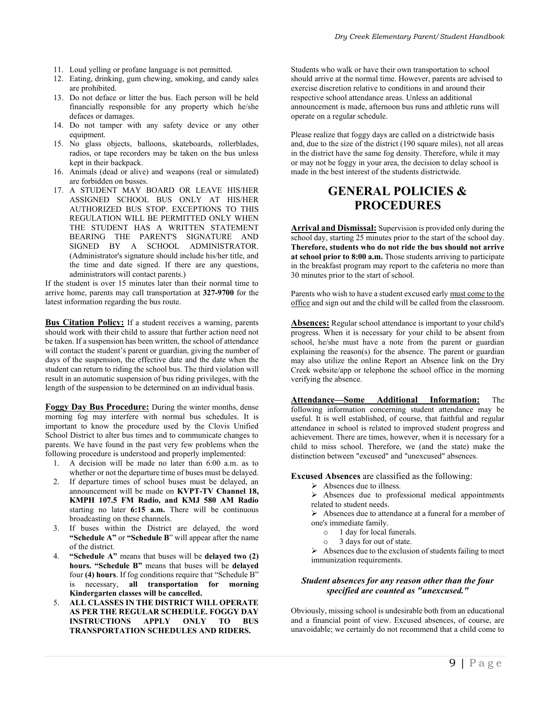- 11. Loud yelling or profane language is not permitted.
- 12. Eating, drinking, gum chewing, smoking, and candy sales are prohibited.
- 13. Do not deface or litter the bus. Each person will be held financially responsible for any property which he/she defaces or damages.
- 14. Do not tamper with any safety device or any other equipment.
- 15. No glass objects, balloons, skateboards, rollerblades, radios, or tape recorders may be taken on the bus unless kept in their backpack.
- 16. Animals (dead or alive) and weapons (real or simulated) are forbidden on busses.
- 17. A STUDENT MAY BOARD OR LEAVE HIS/HER ASSIGNED SCHOOL BUS ONLY AT HIS/HER AUTHORIZED BUS STOP. EXCEPTIONS TO THIS REGULATION WILL BE PERMITTED ONLY WHEN THE STUDENT HAS A WRITTEN STATEMENT BEARING THE PARENT'S SIGNATURE AND SIGNED BY A SCHOOL ADMINISTRATOR. (Administrator's signature should include his/her title, and the time and date signed. If there are any questions, administrators will contact parents.)

If the student is over 15 minutes later than their normal time to arrive home, parents may call transportation at **327-9700** for the latest information regarding the bus route.

**Bus Citation Policy:** If a student receives a warning, parents should work with their child to assure that further action need not be taken. If a suspension has been written, the school of attendance will contact the student's parent or guardian, giving the number of days of the suspension, the effective date and the date when the student can return to riding the school bus. The third violation will result in an automatic suspension of bus riding privileges, with the length of the suspension to be determined on an individual basis.

**Foggy Day Bus Procedure:** During the winter months, dense morning fog may interfere with normal bus schedules. It is important to know the procedure used by the Clovis Unified School District to alter bus times and to communicate changes to parents. We have found in the past very few problems when the following procedure is understood and properly implemented:

- 1. A decision will be made no later than 6:00 a.m. as to whether or not the departure time of buses must be delayed.
- 2. If departure times of school buses must be delayed, an announcement will be made on **KVPT-TV Channel 18, KMPH 107.5 FM Radio, and KMJ 580 AM Radio** starting no later **6:15 a.m.** There will be continuous broadcasting on these channels.
- 3. If buses within the District are delayed, the word **"Schedule A"** or **"Schedule B**" will appear after the name of the district.
- 4. **"Schedule A"** means that buses will be **delayed two (2) hours. "Schedule B"** means that buses will be **delayed**  four **(4) hours**. If fog conditions require that "Schedule B" is necessary, **all transportation for morning Kindergarten classes will be cancelled.**
- 5. **ALL CLASSES IN THE DISTRICT WILL OPERATE AS PER THE REGULAR SCHEDULE. FOGGY DAY INSTRUCTIONS APPLY ONLY TO BUS TRANSPORTATION SCHEDULES AND RIDERS.**

Students who walk or have their own transportation to school should arrive at the normal time. However, parents are advised to exercise discretion relative to conditions in and around their respective school attendance areas. Unless an additional announcement is made, afternoon bus runs and athletic runs will operate on a regular schedule.

Please realize that foggy days are called on a districtwide basis and, due to the size of the district (190 square miles), not all areas in the district have the same fog density. Therefore, while it may or may not be foggy in your area, the decision to delay school is made in the best interest of the students districtwide.

# **GENERAL POLICIES & PROCEDURES**

**Arrival and Dismissal:** Supervision is provided only during the school day, starting 25 minutes prior to the start of the school day. **Therefore, students who do not ride the bus should not arrive at school prior to 8:00 a.m.** Those students arriving to participate in the breakfast program may report to the cafeteria no more than 30 minutes prior to the start of school.

Parents who wish to have a student excused early must come to the office and sign out and the child will be called from the classroom.

**Absences:** Regular school attendance is important to your child's progress. When it is necessary for your child to be absent from school, he/she must have a note from the parent or guardian explaining the reason(s) for the absence. The parent or guardian may also utilize the online Report an Absence link on the Dry Creek website/app or telephone the school office in the morning verifying the absence.

**Attendance—Some Additional Information:** The following information concerning student attendance may be useful. It is well established, of course, that faithful and regular attendance in school is related to improved student progress and achievement. There are times, however, when it is necessary for a child to miss school. Therefore, we (and the state) make the distinction between "excused" and "unexcused" absences.

#### **Excused Absences** are classified as the following:

➢ Absences due to illness.

➢ Absences due to professional medical appointments related to student needs.

➢ Absences due to attendance at a funeral for a member of one's immediate family.

- $\frac{1}{2}$  day for local funerals.
- o 3 days for out of state.

 $\triangleright$  Absences due to the exclusion of students failing to meet immunization requirements.

#### *Student absences for any reason other than the four specified are counted as "unexcused."*

Obviously, missing school is undesirable both from an educational and a financial point of view. Excused absences, of course, are unavoidable; we certainly do not recommend that a child come to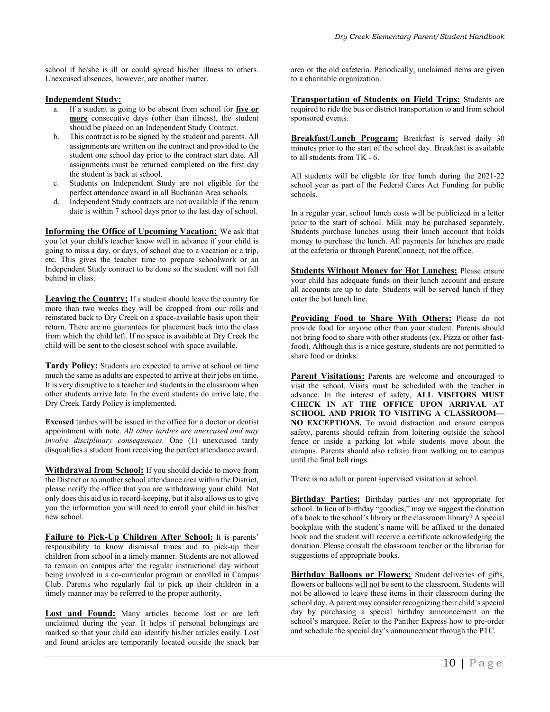school if he/she is ill or could spread his/her illness to others. Unexcused absences, however, are another matter.

### **Independent Study:**

- a. If a student is going to be absent from school for **five or**  more consecutive days (other than illness), the student should be placed on an Independent Study Contract.
- b. This contract is to be signed by the student and parents. All assignments are written on the contract and provided to the student one school day prior to the contract start date. All assignments must be returned completed on the first day the student is back at school.
- c. Students on Independent Study are not eligible for the perfect attendance award in all Buchanan Area schools.
- d. Independent Study contracts are not available if the return date is within 7 school days prior to the last day of school.

**Informing the Office of Upcoming Vacation:** We ask that you let your child's teacher know well in advance if your child is going to miss a day, or days, of school due to a vacation or a trip, etc. This gives the teacher time to prepare schoolwork or an Independent Study contract to be done so the student will not fall behind in class.

**Leaving the Country:** If a student should leave the country for more than two weeks they will be dropped from our rolls and reinstated back to Dry Creek on a space-available basis upon their return. There are no guarantees for placement back into the class from which the child left. If no space is available at Dry Creek the child will be sent to the closest school with space available.

**Tardy Policy:** Students are expected to arrive at school on time much the same as adults are expected to arrive at their jobs on time. It is very disruptive to a teacher and students in the classroom when other students arrive late. In the event students do arrive late, the Dry Creek Tardy Policy is implemented.

**Excused** tardies will be issued in the office for a doctor or dentist appointment with note. *All other tardies are unexcused and may involve disciplinary consequences.* One (1) unexcused tardy disqualifies a student from receiving the perfect attendance award.

**Withdrawal from School:** If you should decide to move from the District or to another school attendance area within the District, please notify the office that you are withdrawing your child. Not only does this aid us in record-keeping, but it also allows us to give you the information you will need to enroll your child in his/her new school.

**Failure to Pick-Up Children After School:** It is parents' responsibility to know dismissal times and to pick-up their children from school in a timely manner. Students are not allowed to remain on campus after the regular instructional day without being involved in a co-curricular program or enrolled in Campus Club. Parents who regularly fail to pick up their children in a timely manner may be referred to the proper authority.

Lost and Found: Many articles become lost or are left unclaimed during the year. It helps if personal belongings are marked so that your child can identify his/her articles easily. Lost and found articles are temporarily located outside the snack bar area or the old cafeteria. Periodically, unclaimed items are given to a charitable organization.

**Transportation of Students on Field Trips:** Students are required to ride the bus or district transportation to and from school sponsored events.

**Breakfast/Lunch Program:** Breakfast is served daily 30 minutes prior to the start of the school day. Breakfast is available to all students from TK - 6.

All students will be eligible for free lunch during the 2021-22 school year as part of the Federal Cares Act Funding for public schools.

In a regular year, school lunch costs will be publicized in a letter prior to the start of school. Milk may be purchased separately. Students purchase lunches using their lunch account that holds money to purchase the lunch. All payments for lunches are made at the cafeteria or through ParentConnect, not the office.

**Students Without Money for Hot Lunches:** Please ensure your child has adequate funds on their lunch account and ensure all accounts are up to date. Students will be served lunch if they enter the hot lunch line.

**Providing Food to Share With Others:** Please do not provide food for anyone other than your student. Parents should not bring food to share with other students (ex. Pizza or other fastfood). Although this is a nice gesture, students are not permitted to share food or drinks.

**Parent Visitations:** Parents are welcome and encouraged to visit the school. Visits must be scheduled with the teacher in advance. In the interest of safety, **ALL VISITORS MUST CHECK IN AT THE OFFICE UPON ARRIVAL AT SCHOOL AND PRIOR TO VISITING A CLASSROOM— NO EXCEPTIONS.** To avoid distraction and ensure campus safety, parents should refrain from loitering outside the school fence or inside a parking lot while students move about the campus. Parents should also refrain from walking on to campus until the final bell rings.

There is no adult or parent supervised visitation at school.

**Birthday Parties:** Birthday parties are not appropriate for school. In lieu of birthday "goodies," may we suggest the donation of a book to the school's library or the classroom library? A special bookplate with the student's name will be affixed to the donated book and the student will receive a certificate acknowledging the donation. Please consult the classroom teacher or the librarian for suggestions of appropriate books.

**Birthday Balloons or Flowers:** Student deliveries of gifts, flowers or balloons will not be sent to the classroom. Students will not be allowed to leave these items in their classroom during the school day. A parent may consider recognizing their child's special day by purchasing a special birthday announcement on the school's marquee. Refer to the Panther Express how to pre-order and schedule the special day's announcement through the PTC.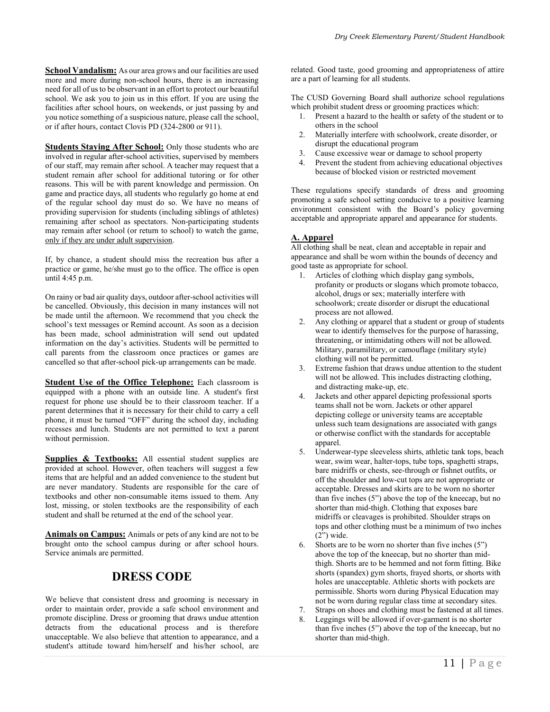**School Vandalism:** As our area grows and our facilities are used more and more during non-school hours, there is an increasing need for all of us to be observant in an effort to protect our beautiful school. We ask you to join us in this effort. If you are using the facilities after school hours, on weekends, or just passing by and you notice something of a suspicious nature, please call the school, or if after hours, contact Clovis PD (324-2800 or 911).

**Students Staying After School:** Only those students who are involved in regular after-school activities, supervised by members of our staff, may remain after school. A teacher may request that a student remain after school for additional tutoring or for other reasons. This will be with parent knowledge and permission. On game and practice days, all students who regularly go home at end of the regular school day must do so. We have no means of providing supervision for students (including siblings of athletes) remaining after school as spectators. Non-participating students may remain after school (or return to school) to watch the game, only if they are under adult supervision.

If, by chance, a student should miss the recreation bus after a practice or game, he/she must go to the office. The office is open until 4:45 p.m.

On rainy or bad air quality days, outdoor after-school activities will be cancelled. Obviously, this decision in many instances will not be made until the afternoon. We recommend that you check the school's text messages or Remind account. As soon as a decision has been made, school administration will send out updated information on the day's activities. Students will be permitted to call parents from the classroom once practices or games are cancelled so that after-school pick-up arrangements can be made.

**Student Use of the Office Telephone:** Each classroom is equipped with a phone with an outside line. A student's first request for phone use should be to their classroom teacher. If a parent determines that it is necessary for their child to carry a cell phone, it must be turned "OFF" during the school day, including recesses and lunch. Students are not permitted to text a parent without permission.

**Supplies & Textbooks:** All essential student supplies are provided at school. However, often teachers will suggest a few items that are helpful and an added convenience to the student but are never mandatory. Students are responsible for the care of textbooks and other non-consumable items issued to them. Any lost, missing, or stolen textbooks are the responsibility of each student and shall be returned at the end of the school year.

**Animals on Campus:** Animals or pets of any kind are not to be brought onto the school campus during or after school hours. Service animals are permitted.

# **DRESS CODE**

We believe that consistent dress and grooming is necessary in order to maintain order, provide a safe school environment and promote discipline. Dress or grooming that draws undue attention detracts from the educational process and is therefore unacceptable. We also believe that attention to appearance, and a student's attitude toward him/herself and his/her school, are

related. Good taste, good grooming and appropriateness of attire are a part of learning for all students.

The CUSD Governing Board shall authorize school regulations which prohibit student dress or grooming practices which:

- 1. Present a hazard to the health or safety of the student or to others in the school
- 2. Materially interfere with schoolwork, create disorder, or disrupt the educational program
- 3. Cause excessive wear or damage to school property
- 4. Prevent the student from achieving educational objectives because of blocked vision or restricted movement

These regulations specify standards of dress and grooming promoting a safe school setting conducive to a positive learning environment consistent with the Board's policy governing acceptable and appropriate apparel and appearance for students.

### **A. Apparel**

All clothing shall be neat, clean and acceptable in repair and appearance and shall be worn within the bounds of decency and good taste as appropriate for school.

- 1. Articles of clothing which display gang symbols, profanity or products or slogans which promote tobacco, alcohol, drugs or sex; materially interfere with schoolwork; create disorder or disrupt the educational process are not allowed.
- 2. Any clothing or apparel that a student or group of students wear to identify themselves for the purpose of harassing, threatening, or intimidating others will not be allowed. Military, paramilitary, or camouflage (military style) clothing will not be permitted.
- 3. Extreme fashion that draws undue attention to the student will not be allowed. This includes distracting clothing, and distracting make-up, etc.
- 4. Jackets and other apparel depicting professional sports teams shall not be worn. Jackets or other apparel depicting college or university teams are acceptable unless such team designations are associated with gangs or otherwise conflict with the standards for acceptable apparel.
- 5. Underwear-type sleeveless shirts, athletic tank tops, beach wear, swim wear, halter-tops, tube tops, spaghetti straps, bare midriffs or chests, see-through or fishnet outfits, or off the shoulder and low-cut tops are not appropriate or acceptable. Dresses and skirts are to be worn no shorter than five inches (5") above the top of the kneecap, but no shorter than mid-thigh. Clothing that exposes bare midriffs or cleavages is prohibited. Shoulder straps on tops and other clothing must be a minimum of two inches  $(2")$  wide.
- 6. Shorts are to be worn no shorter than five inches (5") above the top of the kneecap, but no shorter than midthigh. Shorts are to be hemmed and not form fitting. Bike shorts (spandex) gym shorts, frayed shorts, or shorts with holes are unacceptable. Athletic shorts with pockets are permissible. Shorts worn during Physical Education may not be worn during regular class time at secondary sites.
- 7. Straps on shoes and clothing must be fastened at all times.
- Leggings will be allowed if over-garment is no shorter than five inches (5") above the top of the kneecap, but no shorter than mid-thigh.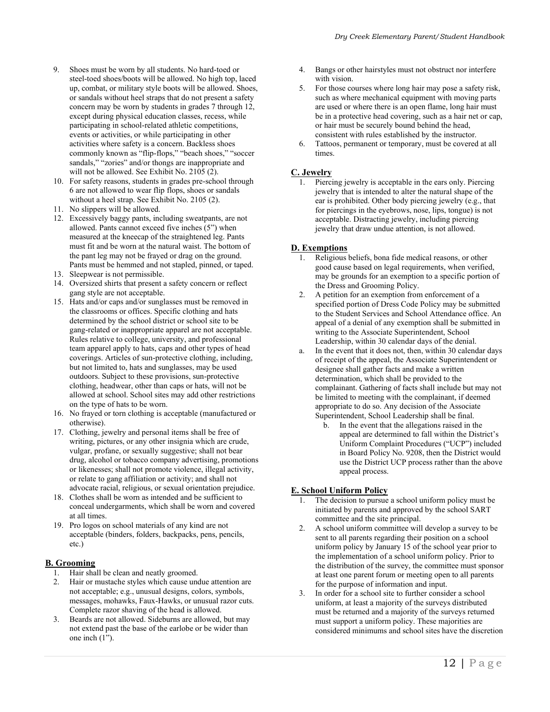- 9. Shoes must be worn by all students. No hard-toed or steel-toed shoes/boots will be allowed. No high top, laced up, combat, or military style boots will be allowed. Shoes, or sandals without heel straps that do not present a safety concern may be worn by students in grades 7 through 12, except during physical education classes, recess, while participating in school-related athletic competitions, events or activities, or while participating in other activities where safety is a concern. Backless shoes commonly known as "flip-flops," "beach shoes," "soccer sandals," "zories" and/or thongs are inappropriate and will not be allowed. See Exhibit No. 2105 (2).
- 10. For safety reasons, students in grades pre-school through 6 are not allowed to wear flip flops, shoes or sandals without a heel strap. See Exhibit No. 2105 (2).
- 11. No slippers will be allowed.
- 12. Excessively baggy pants, including sweatpants, are not allowed. Pants cannot exceed five inches (5") when measured at the kneecap of the straightened leg. Pants must fit and be worn at the natural waist. The bottom of the pant leg may not be frayed or drag on the ground. Pants must be hemmed and not stapled, pinned, or taped.
- 13. Sleepwear is not permissible.
- 14. Oversized shirts that present a safety concern or reflect gang style are not acceptable.
- 15. Hats and/or caps and/or sunglasses must be removed in the classrooms or offices. Specific clothing and hats determined by the school district or school site to be gang-related or inappropriate apparel are not acceptable. Rules relative to college, university, and professional team apparel apply to hats, caps and other types of head coverings. Articles of sun-protective clothing, including, but not limited to, hats and sunglasses, may be used outdoors. Subject to these provisions, sun-protective clothing, headwear, other than caps or hats, will not be allowed at school. School sites may add other restrictions on the type of hats to be worn.
- 16. No frayed or torn clothing is acceptable (manufactured or otherwise).
- 17. Clothing, jewelry and personal items shall be free of writing, pictures, or any other insignia which are crude, vulgar, profane, or sexually suggestive; shall not bear drug, alcohol or tobacco company advertising, promotions or likenesses; shall not promote violence, illegal activity, or relate to gang affiliation or activity; and shall not advocate racial, religious, or sexual orientation prejudice.
- 18. Clothes shall be worn as intended and be sufficient to conceal undergarments, which shall be worn and covered at all times.
- 19. Pro logos on school materials of any kind are not acceptable (binders, folders, backpacks, pens, pencils, etc.)

### **B. Grooming**

- 1. Hair shall be clean and neatly groomed.
- 2. Hair or mustache styles which cause undue attention are not acceptable; e.g., unusual designs, colors, symbols, messages, mohawks, Faux-Hawks, or unusual razor cuts. Complete razor shaving of the head is allowed.
- 3. Beards are not allowed. Sideburns are allowed, but may not extend past the base of the earlobe or be wider than one inch (1").
- 4. Bangs or other hairstyles must not obstruct nor interfere with vision.
- 5. For those courses where long hair may pose a safety risk, such as where mechanical equipment with moving parts are used or where there is an open flame, long hair must be in a protective head covering, such as a hair net or cap, or hair must be securely bound behind the head, consistent with rules established by the instructor.
- 6. Tattoos, permanent or temporary, must be covered at all times.

### **C. Jewelry**

1. Piercing jewelry is acceptable in the ears only. Piercing jewelry that is intended to alter the natural shape of the ear is prohibited. Other body piercing jewelry (e.g., that for piercings in the eyebrows, nose, lips, tongue) is not acceptable. Distracting jewelry, including piercing jewelry that draw undue attention, is not allowed.

### **D. Exemptions**

- 1. Religious beliefs, bona fide medical reasons, or other good cause based on legal requirements, when verified, may be grounds for an exemption to a specific portion of the Dress and Grooming Policy.
- 2. A petition for an exemption from enforcement of a specified portion of Dress Code Policy may be submitted to the Student Services and School Attendance office. An appeal of a denial of any exemption shall be submitted in writing to the Associate Superintendent, School Leadership, within 30 calendar days of the denial.
- a. In the event that it does not, then, within 30 calendar days of receipt of the appeal, the Associate Superintendent or designee shall gather facts and make a written determination, which shall be provided to the complainant. Gathering of facts shall include but may not be limited to meeting with the complainant, if deemed appropriate to do so. Any decision of the Associate Superintendent, School Leadership shall be final.
	- b. In the event that the allegations raised in the appeal are determined to fall within the District's Uniform Complaint Procedures ("UCP") included in Board Policy No. 9208, then the District would use the District UCP process rather than the above appeal process.

### **E. School Uniform Policy**

- 1. The decision to pursue a school uniform policy must be initiated by parents and approved by the school SART committee and the site principal.
- 2. A school uniform committee will develop a survey to be sent to all parents regarding their position on a school uniform policy by January 15 of the school year prior to the implementation of a school uniform policy. Prior to the distribution of the survey, the committee must sponsor at least one parent forum or meeting open to all parents for the purpose of information and input.
- 3. In order for a school site to further consider a school uniform, at least a majority of the surveys distributed must be returned and a majority of the surveys returned must support a uniform policy. These majorities are considered minimums and school sites have the discretion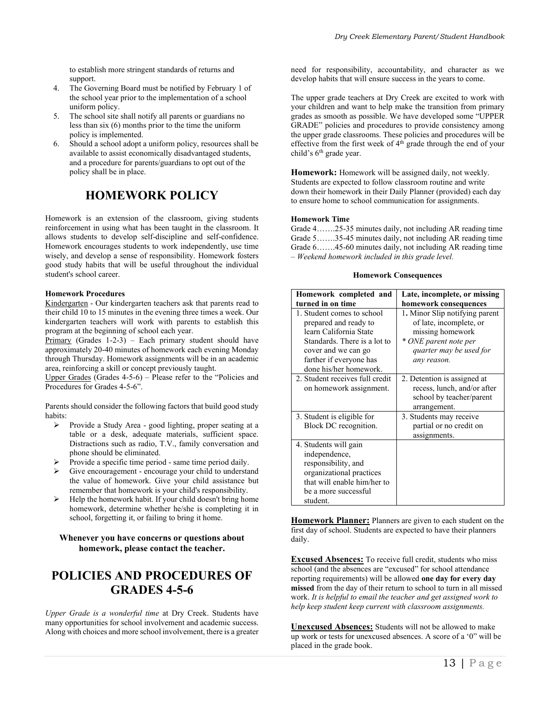to establish more stringent standards of returns and support.

- 4. The Governing Board must be notified by February 1 of the school year prior to the implementation of a school uniform policy.
- 5. The school site shall notify all parents or guardians no less than six (6) months prior to the time the uniform policy is implemented.
- 6. Should a school adopt a uniform policy, resources shall be available to assist economically disadvantaged students, and a procedure for parents/guardians to opt out of the policy shall be in place.

# **HOMEWORK POLICY**

Homework is an extension of the classroom, giving students reinforcement in using what has been taught in the classroom. It allows students to develop self-discipline and self-confidence. Homework encourages students to work independently, use time wisely, and develop a sense of responsibility. Homework fosters good study habits that will be useful throughout the individual student's school career.

#### **Homework Procedures**

Kindergarten - Our kindergarten teachers ask that parents read to their child 10 to 15 minutes in the evening three times a week. Our kindergarten teachers will work with parents to establish this program at the beginning of school each year.

Primary (Grades  $1-2-3$ ) – Each primary student should have approximately 20-40 minutes of homework each evening Monday through Thursday. Homework assignments will be in an academic area, reinforcing a skill or concept previously taught.

Upper Grades (Grades 4-5-6) – Please refer to the "Policies and Procedures for Grades 4-5-6".

Parents should consider the following factors that build good study habits:

- ➢ Provide a Study Area good lighting, proper seating at a table or a desk, adequate materials, sufficient space. Distractions such as radio, T.V., family conversation and phone should be eliminated.
- ➢ Provide a specific time period same time period daily.
- Give encouragement encourage your child to understand the value of homework. Give your child assistance but remember that homework is your child's responsibility.
- ➢ Help the homework habit. If your child doesn't bring home homework, determine whether he/she is completing it in school, forgetting it, or failing to bring it home.

### **Whenever you have concerns or questions about homework, please contact the teacher.**

### **POLICIES AND PROCEDURES OF GRADES 4-5-6**

*Upper Grade is a wonderful time* at Dry Creek. Students have many opportunities for school involvement and academic success. Along with choices and more school involvement, there is a greater need for responsibility, accountability, and character as we develop habits that will ensure success in the years to come.

The upper grade teachers at Dry Creek are excited to work with your children and want to help make the transition from primary grades as smooth as possible. We have developed some "UPPER GRADE" policies and procedures to provide consistency among the upper grade classrooms. These policies and procedures will be effective from the first week of 4<sup>th</sup> grade through the end of your child's 6<sup>th</sup> grade year.

**Homework:** Homework will be assigned daily, not weekly. Students are expected to follow classroom routine and write down their homework in their Daily Planner (provided) each day to ensure home to school communication for assignments.

#### **Homework Time**

Grade 4…….25-35 minutes daily, not including AR reading time Grade 5…….35-45 minutes daily, not including AR reading time Grade 6…….45-60 minutes daily, not including AR reading time – *Weekend homework included in this grade level.*

#### **Homework Consequences**

| Homework completed and          | Late, incomplete, or missing   |
|---------------------------------|--------------------------------|
| turned in on time               | homework consequences          |
| 1. Student comes to school      | 1. Minor Slip notifying parent |
| prepared and ready to           | of late, incomplete, or        |
| learn California State          | missing homework               |
| Standards. There is a lot to    | * ONE parent note per          |
| cover and we can go             | quarter may be used for        |
| farther if everyone has         | any reason.                    |
| done his/her homework.          |                                |
| 2. Student receives full credit | 2. Detention is assigned at    |
| on homework assignment.         | recess, lunch, and/or after    |
|                                 | school by teacher/parent       |
|                                 | arrangement.                   |
| 3. Student is eligible for      | 3. Students may receive        |
| Block DC recognition.           | partial or no credit on        |
|                                 | assignments.                   |
| 4. Students will gain           |                                |
| independence,                   |                                |
| responsibility, and             |                                |
| organizational practices        |                                |
| that will enable him/her to     |                                |
| be a more successful            |                                |
| student.                        |                                |

**Homework Planner:** Planners are given to each student on the first day of school. Students are expected to have their planners daily.

**Excused Absences:** To receive full credit, students who miss school (and the absences are "excused" for school attendance reporting requirements) will be allowed **one day for every day missed** from the day of their return to school to turn in all missed work. *It is helpful to email the teacher and get assigned work to help keep student keep current with classroom assignments.*

**Unexcused Absences:** Students will not be allowed to make up work or tests for unexcused absences. A score of a '0" will be placed in the grade book.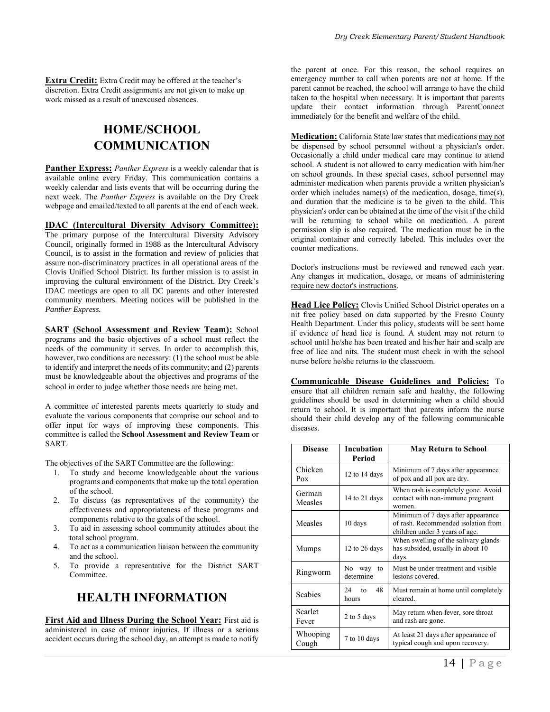**Extra Credit:** Extra Credit may be offered at the teacher's discretion. Extra Credit assignments are not given to make up work missed as a result of unexcused absences.

# **HOME/SCHOOL COMMUNICATION**

**Panther Express:** *Panther Express* is a weekly calendar that is available online every Friday. This communication contains a weekly calendar and lists events that will be occurring during the next week. The *Panther Express* is available on the Dry Creek webpage and emailed/texted to all parents at the end of each week.

**IDAC (Intercultural Diversity Advisory Committee):** The primary purpose of the Intercultural Diversity Advisory Council, originally formed in 1988 as the Intercultural Advisory Council, is to assist in the formation and review of policies that assure non-discriminatory practices in all operational areas of the Clovis Unified School District. Its further mission is to assist in improving the cultural environment of the District. Dry Creek's IDAC meetings are open to all DC parents and other interested community members. Meeting notices will be published in the *Panther Express.*

**SART (School Assessment and Review Team):** School programs and the basic objectives of a school must reflect the needs of the community it serves. In order to accomplish this, however, two conditions are necessary: (1) the school must be able to identify and interpret the needs of its community; and (2) parents must be knowledgeable about the objectives and programs of the school in order to judge whether those needs are being met.

A committee of interested parents meets quarterly to study and evaluate the various components that comprise our school and to offer input for ways of improving these components. This committee is called the **School Assessment and Review Team** or SART.

The objectives of the SART Committee are the following:

- 1. To study and become knowledgeable about the various programs and components that make up the total operation of the school.
- 2. To discuss (as representatives of the community) the effectiveness and appropriateness of these programs and components relative to the goals of the school.
- 3. To aid in assessing school community attitudes about the total school program.
- 4. To act as a communication liaison between the community and the school.
- 5. To provide a representative for the District SART Committee.

# **HEALTH INFORMATION**

**First Aid and Illness During the School Year:** First aid is administered in case of minor injuries. If illness or a serious accident occurs during the school day, an attempt is made to notify the parent at once. For this reason, the school requires an emergency number to call when parents are not at home. If the parent cannot be reached, the school will arrange to have the child taken to the hospital when necessary. It is important that parents update their contact information through ParentConnect immediately for the benefit and welfare of the child.

**Medication:** California State law states that medications may not be dispensed by school personnel without a physician's order. Occasionally a child under medical care may continue to attend school. A student is not allowed to carry medication with him/her on school grounds. In these special cases, school personnel may administer medication when parents provide a written physician's order which includes name(s) of the medication, dosage, time(s), and duration that the medicine is to be given to the child. This physician's order can be obtained at the time of the visit if the child will be returning to school while on medication. A parent permission slip is also required. The medication must be in the original container and correctly labeled. This includes over the counter medications.

Doctor's instructions must be reviewed and renewed each year. Any changes in medication, dosage, or means of administering require new doctor's instructions.

**Head Lice Policy:** Clovis Unified School District operates on a nit free policy based on data supported by the Fresno County Health Department. Under this policy, students will be sent home if evidence of head lice is found. A student may not return to school until he/she has been treated and his/her hair and scalp are free of lice and nits. The student must check in with the school nurse before he/she returns to the classroom.

**Communicable Disease Guidelines and Policies:** To ensure that all children remain safe and healthy, the following guidelines should be used in determining when a child should return to school. It is important that parents inform the nurse should their child develop any of the following communicable diseases.

| <b>Disease</b>                    | Incubation<br>Period      | <b>May Return to School</b>                                                                                 |
|-----------------------------------|---------------------------|-------------------------------------------------------------------------------------------------------------|
| Chicken<br>Pox                    | 12 to 14 days             | Minimum of 7 days after appearance<br>of pox and all pox are dry.                                           |
| German<br>Measles                 | 14 to 21 days             | When rash is completely gone. Avoid<br>contact with non-immune pregnant<br>women.                           |
| Measles                           | 10 days                   | Minimum of 7 days after appearance<br>of rash. Recommended isolation from<br>children under 3 years of age. |
| Mumps                             | 12 to 26 days             | When swelling of the salivary glands<br>has subsided, usually in about 10<br>days.                          |
| Ringworm                          | No way<br>to<br>determine | Must be under treatment and visible<br>lesions covered.                                                     |
| <b>Scabies</b>                    | 48<br>24<br>to<br>hours   | Must remain at home until completely<br>cleared.                                                            |
| Scarlet<br>Fever                  | 2 to 5 days               | May return when fever, sore throat<br>and rash are gone.                                                    |
| Whooping<br>7 to 10 days<br>Cough |                           | At least 21 days after appearance of<br>typical cough and upon recovery.                                    |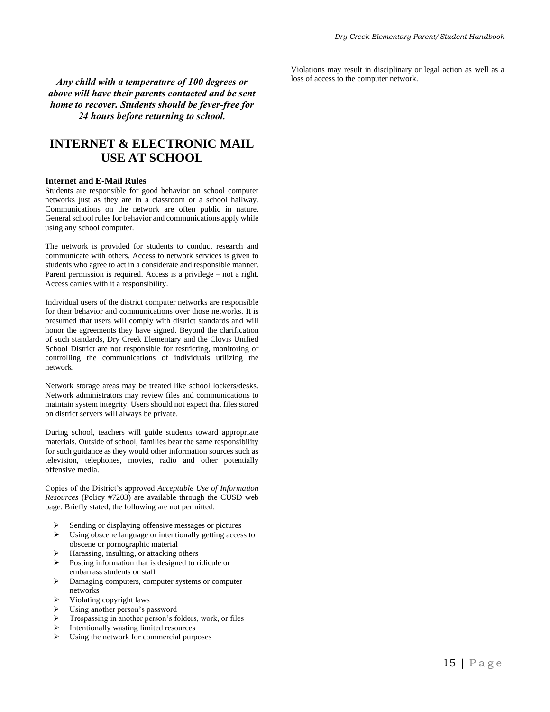*Any child with a temperature of 100 degrees or above will have their parents contacted and be sent home to recover. Students should be fever-free for 24 hours before returning to school.*

# **INTERNET & ELECTRONIC MAIL USE AT SCHOOL**

#### **Internet and E-Mail Rules**

Students are responsible for good behavior on school computer networks just as they are in a classroom or a school hallway. Communications on the network are often public in nature. General school rules for behavior and communications apply while using any school computer.

The network is provided for students to conduct research and communicate with others. Access to network services is given to students who agree to act in a considerate and responsible manner. Parent permission is required. Access is a privilege – not a right. Access carries with it a responsibility.

Individual users of the district computer networks are responsible for their behavior and communications over those networks. It is presumed that users will comply with district standards and will honor the agreements they have signed. Beyond the clarification of such standards, Dry Creek Elementary and the Clovis Unified School District are not responsible for restricting, monitoring or controlling the communications of individuals utilizing the network.

Network storage areas may be treated like school lockers/desks. Network administrators may review files and communications to maintain system integrity. Users should not expect that files stored on district servers will always be private.

During school, teachers will guide students toward appropriate materials. Outside of school, families bear the same responsibility for such guidance as they would other information sources such as television, telephones, movies, radio and other potentially offensive media.

Copies of the District's approved *Acceptable Use of Information Resources* (Policy #7203) are available through the CUSD web page. Briefly stated, the following are not permitted:

- ➢ Sending or displaying offensive messages or pictures
- ➢ Using obscene language or intentionally getting access to obscene or pornographic material
- $\triangleright$  Harassing, insulting, or attacking others
- ➢ Posting information that is designed to ridicule or embarrass students or staff
- ➢ Damaging computers, computer systems or computer networks
- ➢ Violating copyright laws
- $\triangleright$  Using another person's password<br> $\triangleright$  Trespassing in another person's form
- $\triangleright$  Trespassing in another person's folders, work, or files<br> $\triangleright$  Intentionally wasting limited resources
- $\triangleright$  Intentionally wasting limited resources<br> $\triangleright$  Ising the network for commercial purposes
- Using the network for commercial purposes

Violations may result in disciplinary or legal action as well as a loss of access to the computer network.